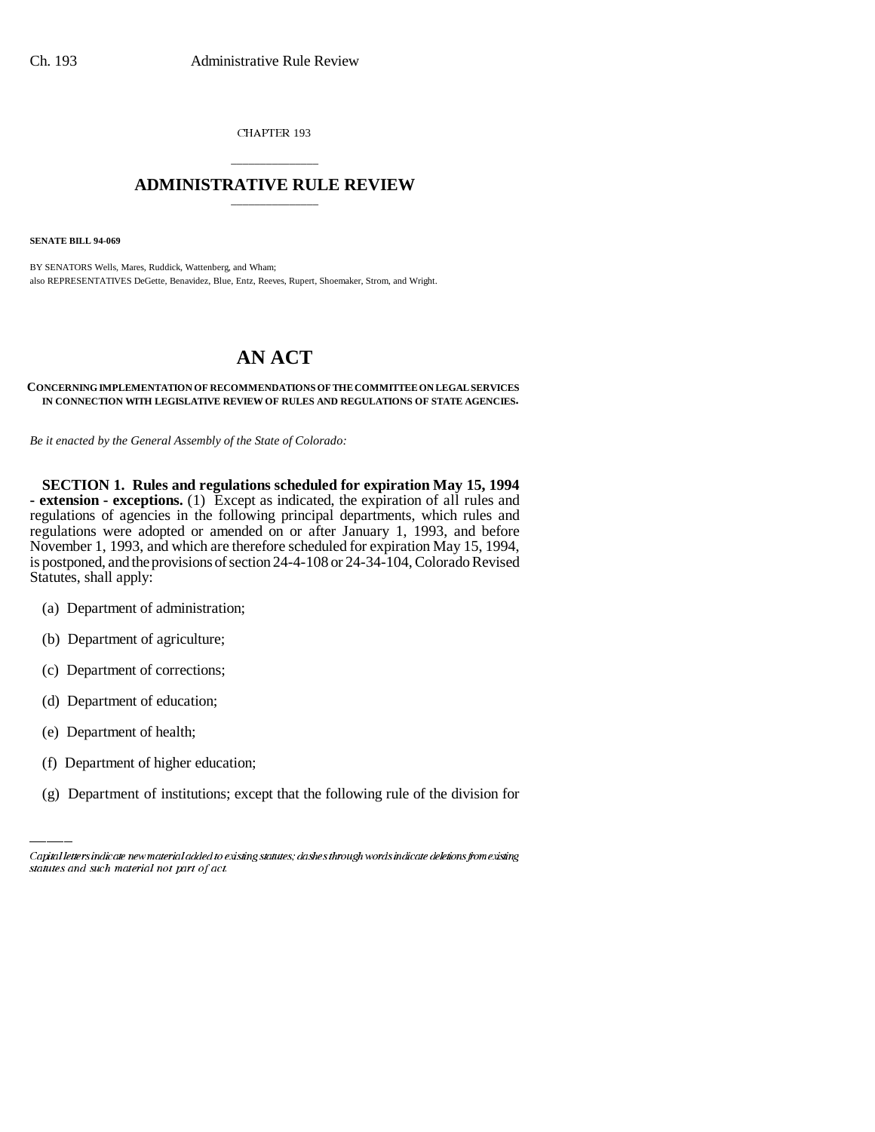CHAPTER 193

# \_\_\_\_\_\_\_\_\_\_\_\_\_\_\_ **ADMINISTRATIVE RULE REVIEW** \_\_\_\_\_\_\_\_\_\_\_\_\_\_\_

**SENATE BILL 94-069**

BY SENATORS Wells, Mares, Ruddick, Wattenberg, and Wham; also REPRESENTATIVES DeGette, Benavidez, Blue, Entz, Reeves, Rupert, Shoemaker, Strom, and Wright.

# **AN ACT**

#### **CONCERNING IMPLEMENTATION OF RECOMMENDATIONS OF THE COMMITTEE ON LEGAL SERVICES IN CONNECTION WITH LEGISLATIVE REVIEW OF RULES AND REGULATIONS OF STATE AGENCIES.**

*Be it enacted by the General Assembly of the State of Colorado:*

**SECTION 1. Rules and regulations scheduled for expiration May 15, 1994 - extension - exceptions.** (1) Except as indicated, the expiration of all rules and regulations of agencies in the following principal departments, which rules and regulations were adopted or amended on or after January 1, 1993, and before November 1, 1993, and which are therefore scheduled for expiration May 15, 1994, is postponed, and the provisions of section 24-4-108 or 24-34-104, Colorado Revised Statutes, shall apply:

- (a) Department of administration;
- (b) Department of agriculture;
- (c) Department of corrections;
- (d) Department of education;
- (e) Department of health;
	- (f) Department of higher education;
	- (g) Department of institutions; except that the following rule of the division for

Capital letters indicate new material added to existing statutes; dashes through words indicate deletions from existing statutes and such material not part of act.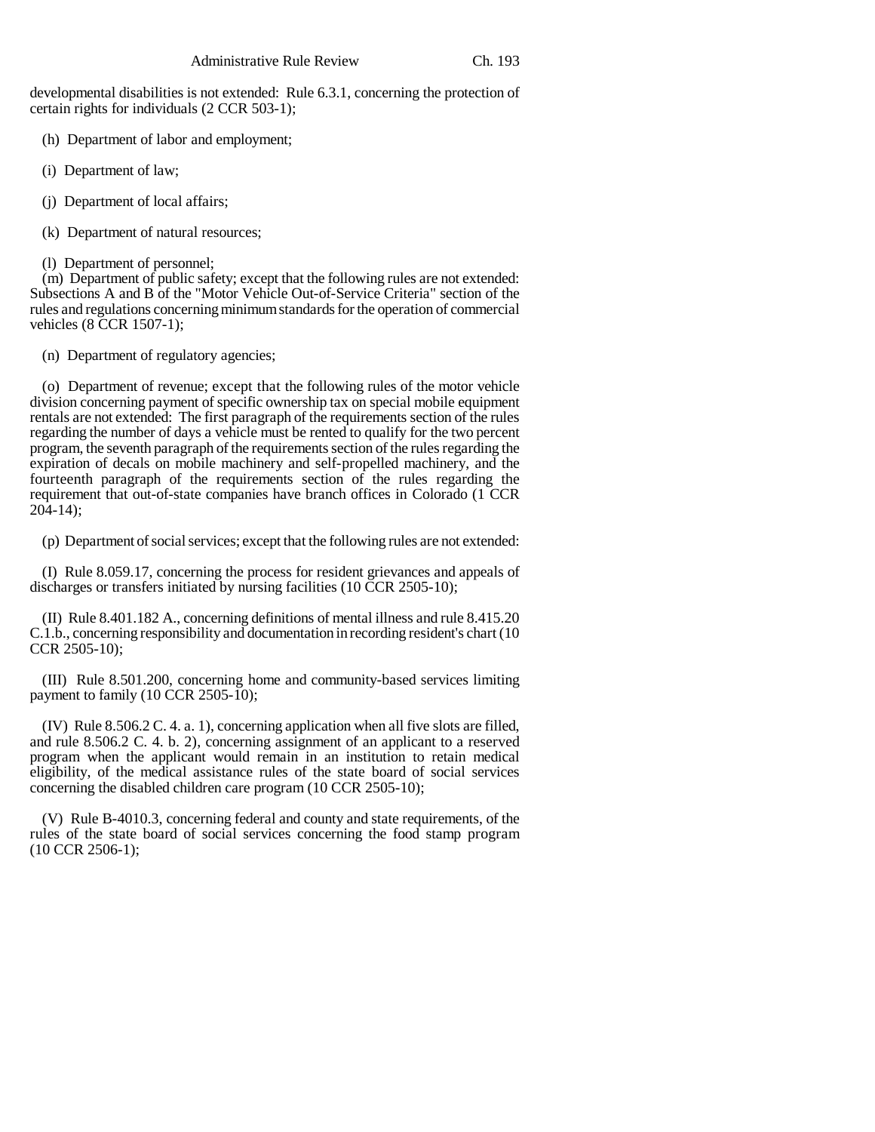developmental disabilities is not extended: Rule 6.3.1, concerning the protection of certain rights for individuals (2 CCR 503-1);

(h) Department of labor and employment;

- (i) Department of law;
- (j) Department of local affairs;
- (k) Department of natural resources;
- (l) Department of personnel;

(m) Department of public safety; except that the following rules are not extended: Subsections A and B of the "Motor Vehicle Out-of-Service Criteria" section of the rules and regulations concerning minimum standards for the operation of commercial vehicles (8 CCR 1507-1);

(n) Department of regulatory agencies;

(o) Department of revenue; except that the following rules of the motor vehicle division concerning payment of specific ownership tax on special mobile equipment rentals are not extended: The first paragraph of the requirements section of the rules regarding the number of days a vehicle must be rented to qualify for the two percent program, the seventh paragraph of the requirements section of the rules regarding the expiration of decals on mobile machinery and self-propelled machinery, and the fourteenth paragraph of the requirements section of the rules regarding the requirement that out-of-state companies have branch offices in Colorado (1 CCR  $204-14$ :

(p) Department of social services; except that the following rules are not extended:

(I) Rule 8.059.17, concerning the process for resident grievances and appeals of discharges or transfers initiated by nursing facilities (10 CCR 2505-10);

(II) Rule 8.401.182 A., concerning definitions of mental illness and rule 8.415.20 C.1.b., concerning responsibility and documentation in recording resident's chart (10 CCR 2505-10);

(III) Rule 8.501.200, concerning home and community-based services limiting payment to family (10 CCR 2505-10);

(IV) Rule 8.506.2 C. 4. a. 1), concerning application when all five slots are filled, and rule 8.506.2 C. 4. b. 2), concerning assignment of an applicant to a reserved program when the applicant would remain in an institution to retain medical eligibility, of the medical assistance rules of the state board of social services concerning the disabled children care program (10 CCR 2505-10);

(V) Rule B-4010.3, concerning federal and county and state requirements, of the rules of the state board of social services concerning the food stamp program (10 CCR 2506-1);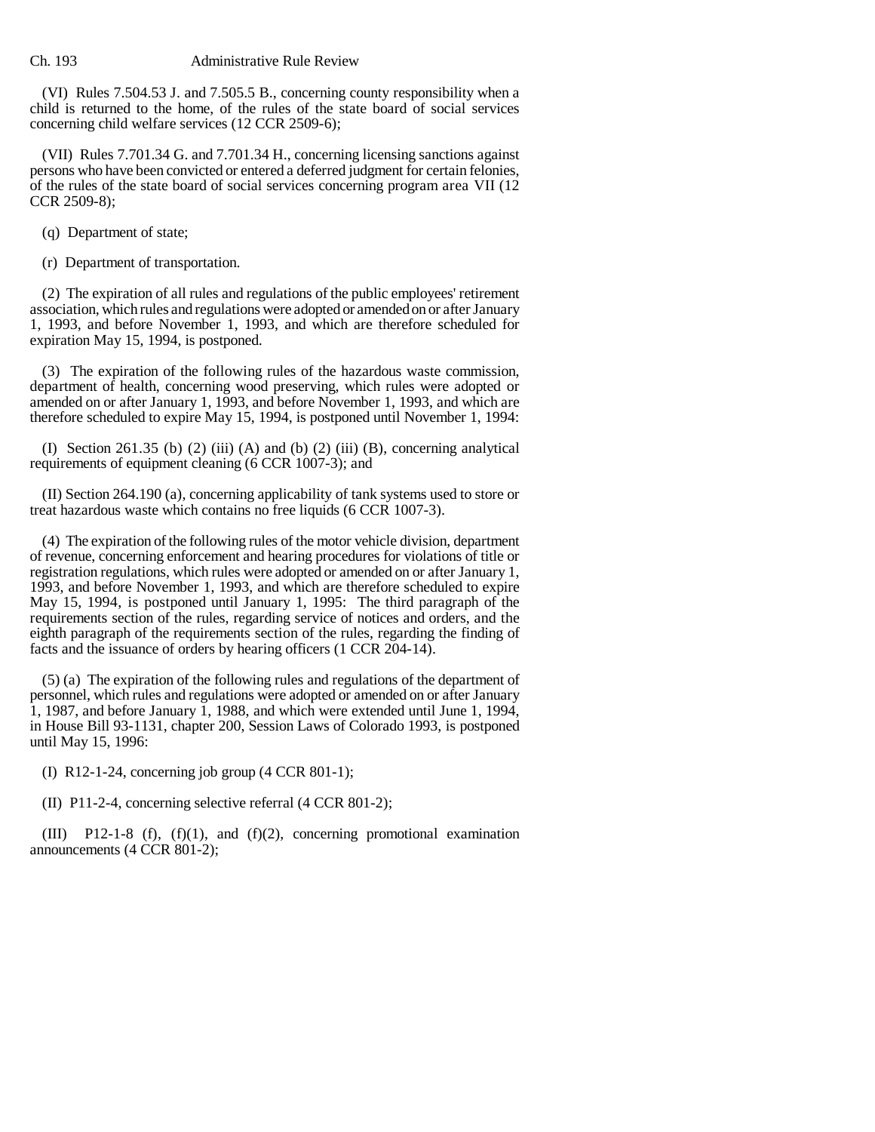## Ch. 193 Administrative Rule Review

(VI) Rules 7.504.53 J. and 7.505.5 B., concerning county responsibility when a child is returned to the home, of the rules of the state board of social services concerning child welfare services (12 CCR 2509-6);

(VII) Rules 7.701.34 G. and 7.701.34 H., concerning licensing sanctions against persons who have been convicted or entered a deferred judgment for certain felonies, of the rules of the state board of social services concerning program area VII (12 CCR 2509-8);

(q) Department of state;

(r) Department of transportation.

(2) The expiration of all rules and regulations of the public employees' retirement association, which rules and regulations were adopted or amended on or after January 1, 1993, and before November 1, 1993, and which are therefore scheduled for expiration May 15, 1994, is postponed.

(3) The expiration of the following rules of the hazardous waste commission, department of health, concerning wood preserving, which rules were adopted or amended on or after January 1, 1993, and before November 1, 1993, and which are therefore scheduled to expire May 15, 1994, is postponed until November 1, 1994:

(I) Section 261.35 (b) (2) (iii) (A) and (b) (2) (iii) (B), concerning analytical requirements of equipment cleaning (6 CCR 1007-3); and

(II) Section 264.190 (a), concerning applicability of tank systems used to store or treat hazardous waste which contains no free liquids (6 CCR 1007-3).

(4) The expiration of the following rules of the motor vehicle division, department of revenue, concerning enforcement and hearing procedures for violations of title or registration regulations, which rules were adopted or amended on or after January 1, 1993, and before November 1, 1993, and which are therefore scheduled to expire May 15, 1994, is postponed until January 1, 1995: The third paragraph of the requirements section of the rules, regarding service of notices and orders, and the eighth paragraph of the requirements section of the rules, regarding the finding of facts and the issuance of orders by hearing officers (1 CCR 204-14).

(5) (a) The expiration of the following rules and regulations of the department of personnel, which rules and regulations were adopted or amended on or after January 1, 1987, and before January 1, 1988, and which were extended until June 1, 1994, in House Bill 93-1131, chapter 200, Session Laws of Colorado 1993, is postponed until May 15, 1996:

(I) R12-1-24, concerning job group (4 CCR 801-1);

(II) P11-2-4, concerning selective referral (4 CCR 801-2);

(III) P12-1-8 (f), (f)(1), and (f)(2), concerning promotional examination announcements (4 CCR 801-2);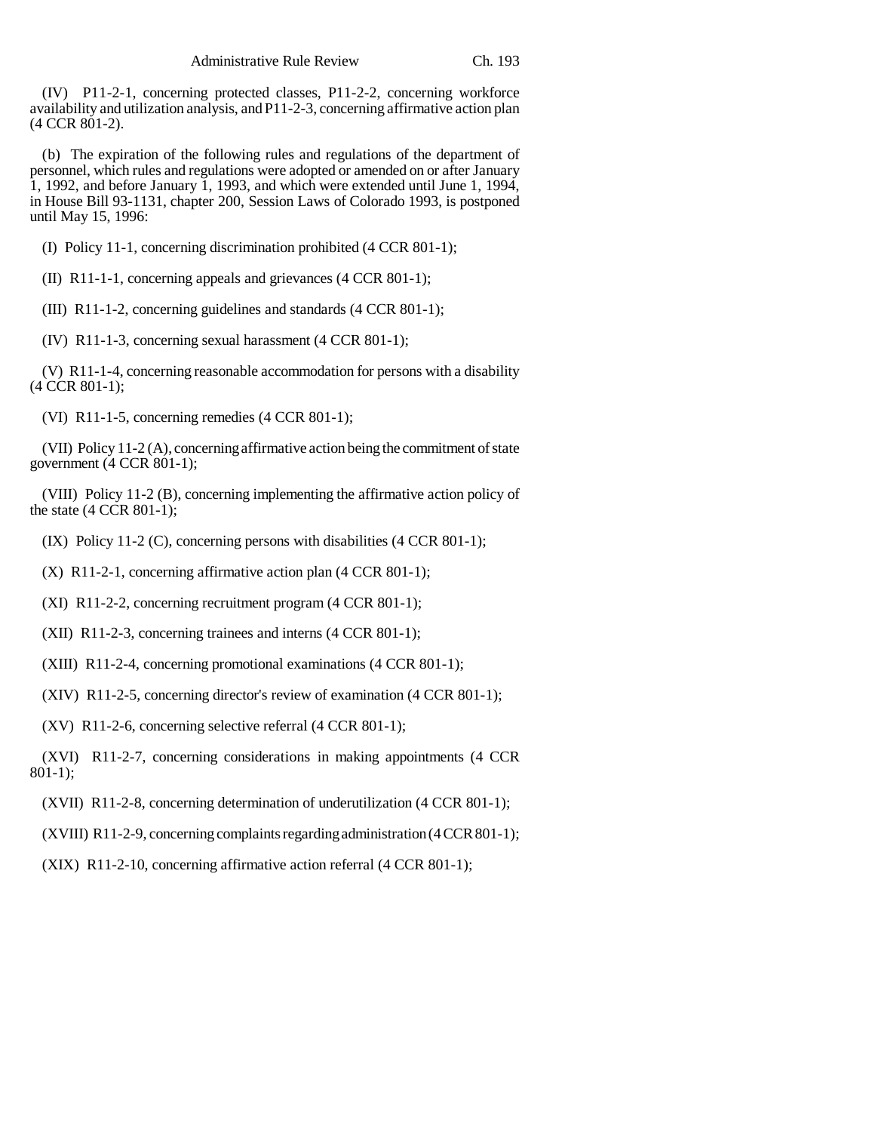(IV) P11-2-1, concerning protected classes, P11-2-2, concerning workforce availability and utilization analysis, and P11-2-3, concerning affirmative action plan (4 CCR 801-2).

(b) The expiration of the following rules and regulations of the department of personnel, which rules and regulations were adopted or amended on or after January 1, 1992, and before January 1, 1993, and which were extended until June 1, 1994, in House Bill 93-1131, chapter 200, Session Laws of Colorado 1993, is postponed until May 15, 1996:

(I) Policy 11-1, concerning discrimination prohibited (4 CCR 801-1);

(II) R11-1-1, concerning appeals and grievances (4 CCR 801-1);

(III) R11-1-2, concerning guidelines and standards (4 CCR 801-1);

(IV) R11-1-3, concerning sexual harassment (4 CCR 801-1);

(V) R11-1-4, concerning reasonable accommodation for persons with a disability (4 CCR 801-1);

(VI) R11-1-5, concerning remedies (4 CCR 801-1);

(VII) Policy 11-2 (A), concerning affirmative action being the commitment of state government (4 CCR 801-1);

(VIII) Policy 11-2 (B), concerning implementing the affirmative action policy of the state  $(4 \text{ CCR } 801-1);$ 

(IX) Policy 11-2 (C), concerning persons with disabilities (4 CCR 801-1);

(X) R11-2-1, concerning affirmative action plan (4 CCR 801-1);

(XI) R11-2-2, concerning recruitment program (4 CCR 801-1);

(XII) R11-2-3, concerning trainees and interns (4 CCR 801-1);

(XIII) R11-2-4, concerning promotional examinations (4 CCR 801-1);

(XIV) R11-2-5, concerning director's review of examination (4 CCR 801-1);

(XV) R11-2-6, concerning selective referral (4 CCR 801-1);

(XVI) R11-2-7, concerning considerations in making appointments (4 CCR 801-1);

(XVII) R11-2-8, concerning determination of underutilization (4 CCR 801-1);

(XVIII) R11-2-9, concerning complaints regarding administration (4 CCR 801-1);

(XIX) R11-2-10, concerning affirmative action referral (4 CCR 801-1);